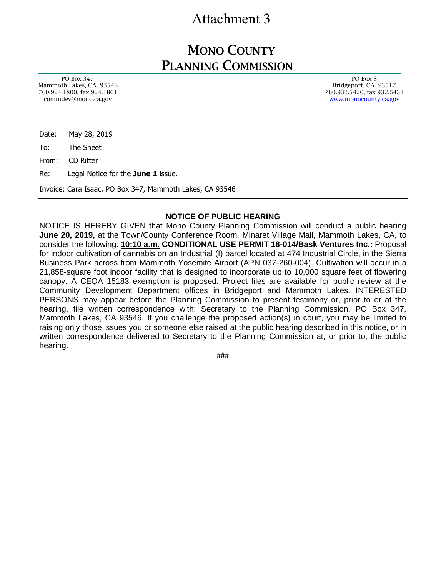# Attachment 3

### MONO COUNTY PLANNING COMMISSION

 PO Box 347 Mammoth Lakes, CA 93546 760.924.1800, fax 924.1801 commdev@mono.ca.gov

 PO Box 8 Bridgeport, CA 93517 760.932.5420, fax 932.5431 [www.monocounty.ca.gov](http://www.monocounty.ca.gov/)

Date: May 28, 2019

To: The Sheet

From: CD Ritter

Re: Legal Notice for the **June 1** issue.

Invoice: Cara Isaac, PO Box 347, Mammoth Lakes, CA 93546

#### **NOTICE OF PUBLIC HEARING**

NOTICE IS HEREBY GIVEN that Mono County Planning Commission will conduct a public hearing **June 20, 2019,** at the Town/County Conference Room, Minaret Village Mall, Mammoth Lakes, CA, to consider the following: **10:10 a.m. CONDITIONAL USE PERMIT 18-014/Bask Ventures Inc.:** Proposal for indoor cultivation of cannabis on an Industrial (I) parcel located at 474 Industrial Circle, in the Sierra Business Park across from Mammoth Yosemite Airport (APN 037-260-004). Cultivation will occur in a 21,858-square foot indoor facility that is designed to incorporate up to 10,000 square feet of flowering canopy. A CEQA 15183 exemption is proposed. Project files are available for public review at the Community Development Department offices in Bridgeport and Mammoth Lakes. INTERESTED PERSONS may appear before the Planning Commission to present testimony or, prior to or at the hearing, file written correspondence with: Secretary to the Planning Commission, PO Box 347, Mammoth Lakes, CA 93546. If you challenge the proposed action(s) in court, you may be limited to raising only those issues you or someone else raised at the public hearing described in this notice, or in written correspondence delivered to Secretary to the Planning Commission at, or prior to, the public hearing.

###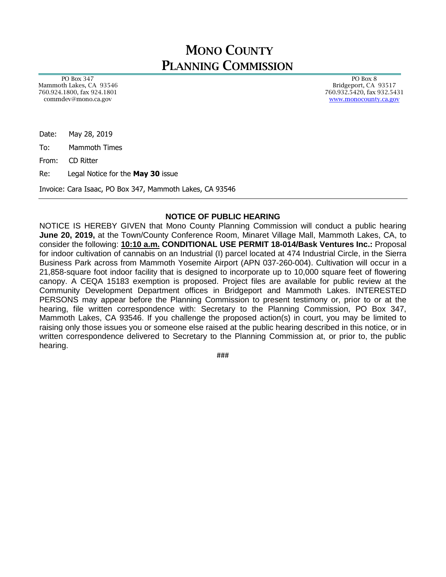## MONO COUNTY PLANNING COMMISSION

 PO Box 347 Mammoth Lakes, CA 93546 760.924.1800, fax 924.1801 commdev@mono.ca.gov

 PO Box 8 Bridgeport, CA 93517 760.932.5420, fax 932.5431 [www.monocounty.ca.gov](http://www.monocounty.ca.gov/)

Date: May 28, 2019

To: Mammoth Times

From: CD Ritter

Re: Legal Notice for the **May 30** issue

Invoice: Cara Isaac, PO Box 347, Mammoth Lakes, CA 93546

#### **NOTICE OF PUBLIC HEARING**

NOTICE IS HEREBY GIVEN that Mono County Planning Commission will conduct a public hearing **June 20, 2019,** at the Town/County Conference Room, Minaret Village Mall, Mammoth Lakes, CA, to consider the following: **10:10 a.m. CONDITIONAL USE PERMIT 18-014/Bask Ventures Inc.:** Proposal for indoor cultivation of cannabis on an Industrial (I) parcel located at 474 Industrial Circle, in the Sierra Business Park across from Mammoth Yosemite Airport (APN 037-260-004). Cultivation will occur in a 21,858-square foot indoor facility that is designed to incorporate up to 10,000 square feet of flowering canopy. A CEQA 15183 exemption is proposed. Project files are available for public review at the Community Development Department offices in Bridgeport and Mammoth Lakes. INTERESTED PERSONS may appear before the Planning Commission to present testimony or, prior to or at the hearing, file written correspondence with: Secretary to the Planning Commission, PO Box 347, Mammoth Lakes, CA 93546. If you challenge the proposed action(s) in court, you may be limited to raising only those issues you or someone else raised at the public hearing described in this notice, or in written correspondence delivered to Secretary to the Planning Commission at, or prior to, the public hearing.

###